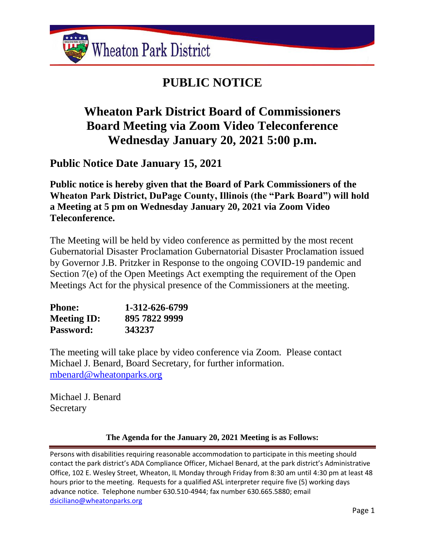

# **PUBLIC NOTICE**

# **Wheaton Park District Board of Commissioners Board Meeting via Zoom Video Teleconference Wednesday January 20, 2021 5:00 p.m.**

**Public Notice Date January 15, 2021**

**Public notice is hereby given that the Board of Park Commissioners of the Wheaton Park District, DuPage County, Illinois (the "Park Board") will hold a Meeting at 5 pm on Wednesday January 20, 2021 via Zoom Video Teleconference.**

The Meeting will be held by video conference as permitted by the most recent Gubernatorial Disaster Proclamation Gubernatorial Disaster Proclamation issued by Governor J.B. Pritzker in Response to the ongoing COVID-19 pandemic and Section 7(e) of the Open Meetings Act exempting the requirement of the Open Meetings Act for the physical presence of the Commissioners at the meeting.

| <b>Phone:</b>      | 1-312-626-6799 |
|--------------------|----------------|
| <b>Meeting ID:</b> | 895 7822 9999  |
| Password:          | 343237         |

The meeting will take place by video conference via Zoom. Please contact Michael J. Benard, Board Secretary, for further information. [mbenard@wheatonparks.org](mailto:mbenard@wheatonparks.org)

Michael J. Benard **Secretary** 

## **The Agenda for the January 20, 2021 Meeting is as Follows:**

Persons with disabilities requiring reasonable accommodation to participate in this meeting should contact the park district's ADA Compliance Officer, Michael Benard, at the park district's Administrative Office, 102 E. Wesley Street, Wheaton, IL Monday through Friday from 8:30 am until 4:30 pm at least 48 hours prior to the meeting. Requests for a qualified ASL interpreter require five (5) working days advance notice. Telephone number 630.510-4944; fax number 630.665.5880; email [dsiciliano@wheatonparks.org](mailto:dsiciliano@wheatonparks.org)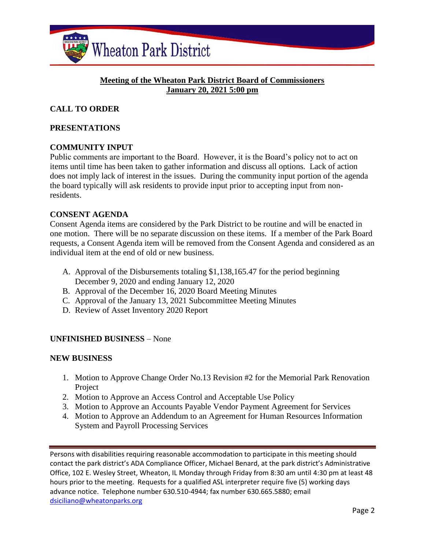

### **Meeting of the Wheaton Park District Board of Commissioners January 20, 2021 5:00 pm**

## **CALL TO ORDER**

### **PRESENTATIONS**

#### **COMMUNITY INPUT**

Public comments are important to the Board. However, it is the Board's policy not to act on items until time has been taken to gather information and discuss all options. Lack of action does not imply lack of interest in the issues. During the community input portion of the agenda the board typically will ask residents to provide input prior to accepting input from nonresidents.

#### **CONSENT AGENDA**

Consent Agenda items are considered by the Park District to be routine and will be enacted in one motion. There will be no separate discussion on these items. If a member of the Park Board requests, a Consent Agenda item will be removed from the Consent Agenda and considered as an individual item at the end of old or new business.

- A. Approval of the Disbursements totaling \$1,138,165.47 for the period beginning December 9, 2020 and ending January 12, 2020
- B. Approval of the December 16, 2020 Board Meeting Minutes
- C. Approval of the January 13, 2021 Subcommittee Meeting Minutes
- D. Review of Asset Inventory 2020 Report

#### **UNFINISHED BUSINESS** – None

#### **NEW BUSINESS**

- 1. Motion to Approve Change Order No.13 Revision #2 for the Memorial Park Renovation Project
- 2. Motion to Approve an Access Control and Acceptable Use Policy
- 3. Motion to Approve an Accounts Payable Vendor Payment Agreement for Services
- 4. Motion to Approve an Addendum to an Agreement for Human Resources Information System and Payroll Processing Services

Persons with disabilities requiring reasonable accommodation to participate in this meeting should contact the park district's ADA Compliance Officer, Michael Benard, at the park district's Administrative Office, 102 E. Wesley Street, Wheaton, IL Monday through Friday from 8:30 am until 4:30 pm at least 48 hours prior to the meeting. Requests for a qualified ASL interpreter require five (5) working days advance notice. Telephone number 630.510-4944; fax number 630.665.5880; email [dsiciliano@wheatonparks.org](mailto:dsiciliano@wheatonparks.org)